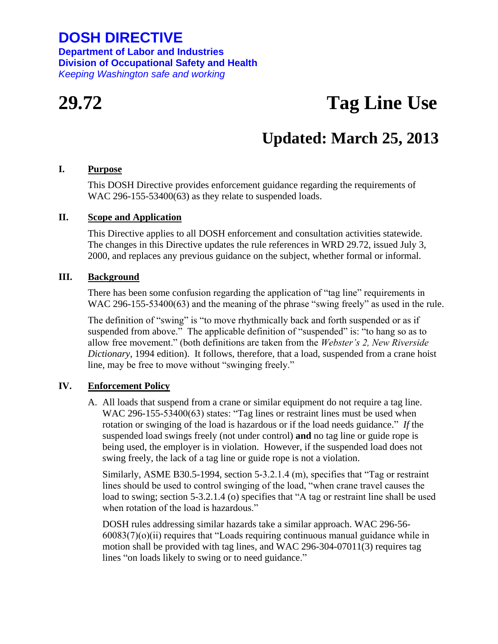## **DOSH DIRECTIVE**

**Department of Labor and Industries Division of Occupational Safety and Health** *Keeping Washington safe and working*

# **29.72 Tag Line Use**

# **Updated: March 25, 2013**

#### **I. Purpose**

This DOSH Directive provides enforcement guidance regarding the requirements of WAC 296-155-53400(63) as they relate to suspended loads.

#### **II. Scope and Application**

This Directive applies to all DOSH enforcement and consultation activities statewide. The changes in this Directive updates the rule references in WRD 29.72, issued July 3, 2000, and replaces any previous guidance on the subject, whether formal or informal.

#### **III. Background**

There has been some confusion regarding the application of "tag line" requirements in WAC 296-155-53400(63) and the meaning of the phrase "swing freely" as used in the rule.

The definition of "swing" is "to move rhythmically back and forth suspended or as if suspended from above." The applicable definition of "suspended" is: "to hang so as to allow free movement." (both definitions are taken from the *Webster's 2, New Riverside Dictionary*, 1994 edition). It follows, therefore, that a load, suspended from a crane hoist line, may be free to move without "swinging freely."

### **IV. Enforcement Policy**

A. All loads that suspend from a crane or similar equipment do not require a tag line. WAC 296-155-53400(63) states: "Tag lines or restraint lines must be used when rotation or swinging of the load is hazardous or if the load needs guidance." *If* the suspended load swings freely (not under control) **and** no tag line or guide rope is being used, the employer is in violation. However, if the suspended load does not swing freely, the lack of a tag line or guide rope is not a violation.

Similarly, ASME B30.5-1994, section 5-3.2.1.4 (m), specifies that "Tag or restraint lines should be used to control swinging of the load, "when crane travel causes the load to swing; section 5-3.2.1.4 (o) specifies that "A tag or restraint line shall be used when rotation of the load is hazardous."

DOSH rules addressing similar hazards take a similar approach. WAC 296-56-  $60083(7)(o)(ii)$  requires that "Loads requiring continuous manual guidance while in motion shall be provided with tag lines, and WAC 296-304-07011(3) requires tag lines "on loads likely to swing or to need guidance."